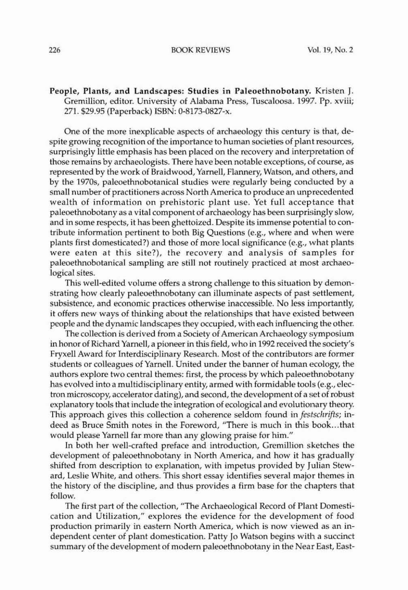## People, Plants, and Landscapes: Studies in Paleoethnobotany. Kristen J. Gremillion, editor. University of Alabama Press, Tuscaloosa. 1997. Pp. xviii; 271. \$29.95 (Paperback) ISBN: O·8173-0827-x.

One of the more inexplicable aspects of archaeology this century is that, despite growing recognition of the importance to human societies of plant resources, surprisingly Uttle emphasis has been placed on the recovery and interpretation of those remains by archaeologists. There have been notable exceptions, of course, as represented by the work of Braidwood, Yarnell, Flannery, Watson, and others, and by the 19705, paleoethnobotanical studies were regularly being conducted by a small number of practitioners across North America to produce an unprecedented wealth of information on prehistoric plant use. Yet full acceptance that paleoethnobotany as a vital component of archaeology has been surprisingly slow, and in some respects, it has been ghettoizcd. Despite its immense potential to contribute information pertinent to both Big Questions (e.g., where and when were plants first domesticated?) and those of more local significance (e.g., what plants were eaten at this site?), the recovery and analysis of samples for palcoethnobotanical sampling arc still not routinely practiced at most archaeological sites.

This well-edited volume offers a strong challenge to this situation by demonstrating how clearly paleoethnobotany can illuminate aspects of past settlement, subsistence, and economic practices otherwise inaccessible. No less importantly, it offers new ways of thinking about the relationships that have existed between people and the dynamic landscapes they occupied, with each influencing the other.

The collection is derived from a Society of American Archaeology symposium in honor of Richard Yarnell, a pioneer in this field, who in 1992 received the society's Fryxell Award for Interdisciplinary Research. Most of the contributors are former students or colleagues of Yarnell. United under the banner of human ecology, the authors explore two central themes: first, the process by which paleoethnobotany has evolved into a multidisciplinary entity, armed with formidable tools (e.g., electron microscopy, accelerator dating), and second, the development of a set of robust explanatory tools that include the integration of ecological and evolutionary theory. This approach gives this collection a coherence seldom found in *festschrifts*; indeed as Bruce Smith notes in the Foreword, "There is much in this book...that would please Yarnell far more than any glowing praise for him."

In both her well-crafted preface and introduction, Gremillion sketches the development of paleoethnobotany in North America, and how it has gradually shifted from description to explanation, with impetus provided by] ulian Steward, Leslie White, and others. This short essay identifies several major themes in the history of the discipline, and thus provides a firm base for the chapters that follow.

The first part of the collection, ''The Archaeological Record of Plant Domestication and Utilization," explores the evidence for the development of food production primarily in eastern North America, which is now viewed as an independent center of plant domestication. Patty ]0 Watson begins with a succinct summary of the development of modern paleoethnobotany in the Near East, East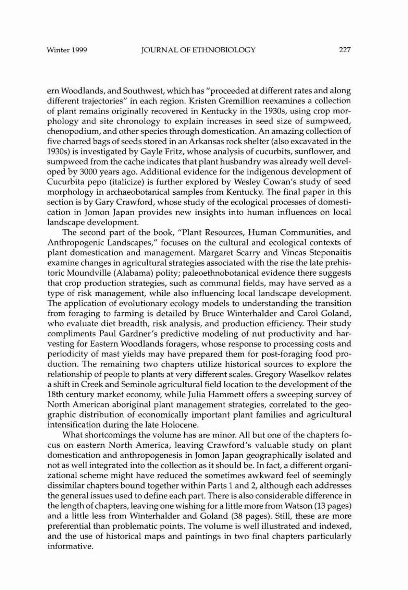ern Woodlands, and Southwest, which has "proceeded at different rates and along different trajectories" in each region. Kristen Gremillion reexamines a collection of plant remains originally recovered in Kentucky in the 1930s, using crop morphology and site chronology to explain increases in seed size of sumpweed, chenopodium, and other species through domestication. An amazing collection of five charred bags of seeds stored in an Arkansas rock shelter (also excavated in the 1930s) is investigated by Gayle Fritz, whose analysis of cucurbits, sunflower, and sumpweed from the cache indicates that plant husbandry was already well developed by 3000 years ago. Additional evidence for the indigenous development of Cucurbita pepo (italicize) is further explored by Wesley Cowan's study of seed morphology in archaeobotanical samples from Kentucky. The final paper in this section is by Cary Crawford, whose study of the ecological processes of domestication in Jomon Japan provides new insights into human influences on local landscape development.

The second part of the book, "Plant Resources, Human Communities, and Anthropogenic Landscapes," focuses on the cultural and ecological contexts of plant domestication and management. Margaret Scarry and Vincas Steponaitis examine changes in agricultural strategies associated with the rise the late prehistoric Moundville (Alabama) polity; paleoethnobotanical evidence there suggests that crop production strategies, such as communal fields, may have served as a type of risk management, while also influencing local landscape development. The application of evolutionary ecology models to understanding the transition from foraging to farming is detailed by Bruce Winterhalder and Carol Coland, who evaluate diet breadth, risk analysis, and production efficiency. Their study compliments Paul Gardner's predictive modeling of nut productivity and harvesting for Eastern Woodlands foragers, whose response to processing costs and periodicity of mast yields may have prepared them for post-foraging food production. The remaining two chapters utilize historical sources to explore the relationship of people to plants at very different scales. Gregory Waselkov relates a shift in Creek and Seminole agricultural field location to the development of the 18th century market economy, while Julia Hammett offers a sweeping survey of North American aboriginal plant management strategies, correlated to the geographic distribution of economically important plant families and agricultural intensification during the late Holocene.

What shortcomings the volume has are minor. All but one of the chapters focus on eastern North America, leaving Crawford's valuable study on plant domestication and anthropogenesis in Jomon Japan geographically isolated and not as well integrated into the collection as it should be. In fact, a different organizational scheme might have reduced the sometimes awkward feel of seemingly dissimilar chapters bound together within Parts 1 and 2, although each addresses the general issues used to define each part. There is also considerable difference in the length of chapters, leaving one wishing for a little more from Watson (13 pages) and a little less from Winterhalder and Coland (38 pages). Still, these are more preferential than problematic points. The volume is well illustrated and indexed, and the use of historical maps and paintings in two final chapters particularly informative.